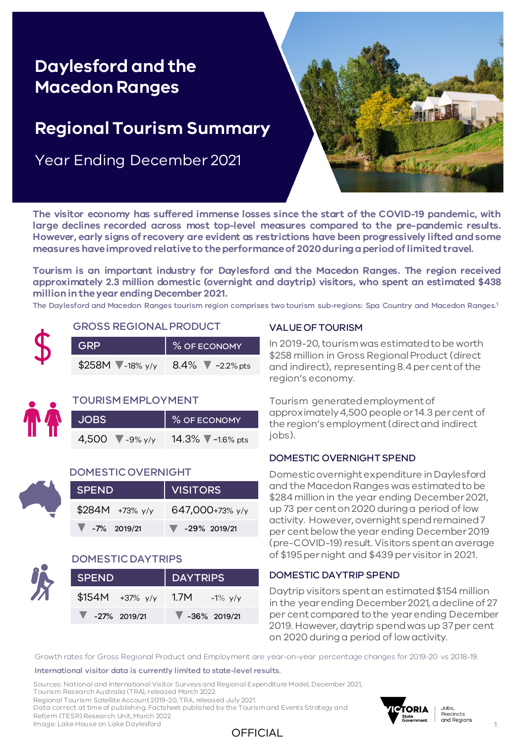# **Daylesford and the Regional Tourism Summary Macedon Ranges**

# **Regional Tourism Summary**

Year Ending December 2021



**The visitor economy has suffered immense losses since the start of the COVID-19 pandemic, with large declines recorded across most top-level measures compared to the pre-pandemic results. However, early signs of recovery are evident as restrictions have been progressively lifted andsome measures haveimprovedrelativeto theperformanceof 2020duringaperiodoflimitedtravel.**

**Tourism is an important industry for Daylesford and the Macedon Ranges. The region received approximately 2.3 million domestic (overnight and daytrip) visitors, who spent an estimated \$438 million intheyear ending December 2021.**

The Daylesford and Macedon Ranges tourism region comprises two tourism sub-regions: Spa Country and Macedon Ranges. 1



| <b>GROSS REGIONAL PRODUCT</b> |  |
|-------------------------------|--|
|-------------------------------|--|

| I GRP                          | % OF ECONOMY |
|--------------------------------|--------------|
| \$258M -18% y/y 8.4% -2.2% pts |              |



#### TOURISM EMPLOYMENT

| <b>JOBS</b> |                        | % OF ECONOMY                         |
|-------------|------------------------|--------------------------------------|
|             | 4,500 $\sqrt{9\% y/y}$ | 14.3% $\sqrt{\phantom{0}}$ -1.6% pts |

#### DOMESTIC OVERNIGHT

| <b>SPEND</b>         | VISITORS                          |  |  |  |  |
|----------------------|-----------------------------------|--|--|--|--|
| $$284M + 73\%$ y/y   | 647,000+73% y/y                   |  |  |  |  |
| $\sqrt{7\%}$ 2019/21 | $\blacktriangledown$ -29% 2019/21 |  |  |  |  |

#### DOMESTIC DAYTRIPS

| <b>SPEND</b>                      |                    | DAYTRIPS                          |  |  |  |  |
|-----------------------------------|--------------------|-----------------------------------|--|--|--|--|
|                                   | \$154M $+37\%$ y/y | 1.7M $-1\%$ y/y                   |  |  |  |  |
| $\blacktriangledown$ -27% 2019/21 |                    | $\blacktriangledown$ -36% 2019/21 |  |  |  |  |

### VALUE OF TOURISM

In 2019-20, tourism was estimated to be worth \$258 million in Gross Regional Product (direct and indirect), representing 8.4 per cent of the region's economy.

Tourism generated employment of approximately 4,500 people or 14.3 per cent of the region's employment (direct and indirect jobs).

#### DOMESTIC OVERNIGHT SPEND

Domestic overnight expenditure in Daylesford and the Macedon Ranges was estimated to be \$284 million in the year ending December 2021, up 73 per cent on 2020 during a period of low activity. However, overnight spend remained 7 per cent below the year ending December 2019 (pre-COVID-19) result. Visitors spent an average of \$195 per night and \$439 per visitor in 2021.

#### DOMESTIC DAYTRIP SPEND

Daytrip visitors spent an estimated \$154 million in the year ending December 2021, a decline of 27 per cent compared to the year ending December 2019. However, daytrip spend was up 37 per cent on 2020 during a period of low activity.

Growth rates for Gross Regional Product and Employment are year-on-year percentage changes for 2019-20 vs 2018-19.

International visitor data is currently limited to state-level results.

Sources: National and International Visitor Surveys and Regional Expenditure Model, December 2021, Tourism Research Australia (TRA), released March 2022.

Regional Tourism Satellite Account 2019-20, TRA, released July 2021.

Data correct at time of publishing. Factsheet published by the Tourism and Events Strategy and

Reform (TESR) Research Unit, March 2022.







1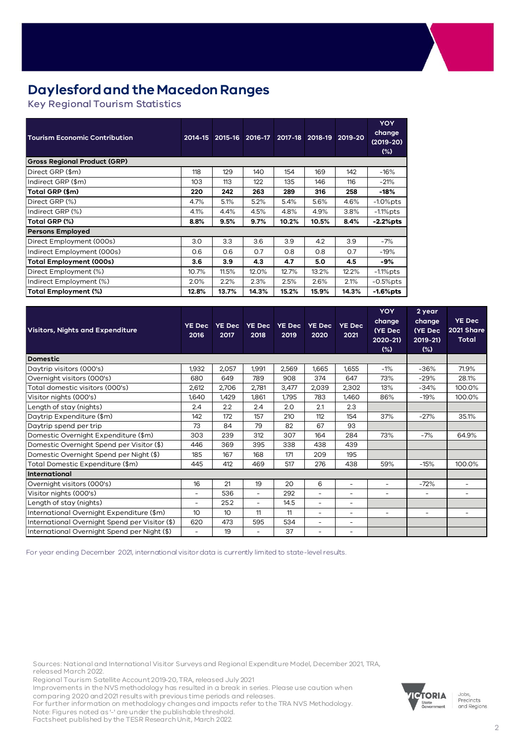## **Daylesford and the Macedon Ranges**

Key Regional Tourism Statistics

| <b>Tourism Economic Contribution</b> | 2014-15 | 2015-16 | 2016-17 | 2017-18 | 2018-19 | 2019-20 | <b>YOY</b><br>change<br>$(2019-20)$<br>(%) |
|--------------------------------------|---------|---------|---------|---------|---------|---------|--------------------------------------------|
| <b>Gross Regional Product (GRP)</b>  |         |         |         |         |         |         |                                            |
| Direct GRP (\$m)                     | 118     | 129     | 140     | 154     | 169     | 142     | $-16%$                                     |
| Indirect GRP (\$m)                   | 103     | 113     | 122     | 135     | 146     | 116     | $-21%$                                     |
| Total GRP (\$m)                      | 220     | 242     | 263     | 289     | 316     | 258     | -18%                                       |
| Direct GRP (%)                       | 4.7%    | 5.1%    | 5.2%    | 5.4%    | 5.6%    | 4.6%    | $-1.0\%$ pts                               |
| Indirect GRP (%)                     | 4.1%    | 4.4%    | 4.5%    | 4.8%    | 4.9%    | 3.8%    | $-1.1\%$ pts                               |
| Total GRP (%)                        | 8.8%    | 9.5%    | 9.7%    | 10.2%   | 10.5%   | 8.4%    | $-2.2%$ pts                                |
| <b>Persons Employed</b>              |         |         |         |         |         |         |                                            |
| Direct Employment (000s)             | 3.0     | 3.3     | 3.6     | 3.9     | 4.2     | 3.9     | $-7%$                                      |
| Indirect Employment (000s)           | 0.6     | 0.6     | 0.7     | 0.8     | 0.8     | 0.7     | $-19%$                                     |
| Total Employment (000s)              | 3.6     | 3.9     | 4.3     | 4.7     | 5.0     | 4.5     | -9%                                        |
| Direct Employment (%)                | 10.7%   | 11.5%   | 12.0%   | 12.7%   | 13.2%   | 12.2%   | $-1.1\%$ pts                               |
| Indirect Employment (%)              | 2.0%    | 2.2%    | 2.3%    | 2.5%    | 2.6%    | 2.1%    | $-0.5%$ pts                                |
| Total Employment (%)                 | 12.8%   | 13.7%   | 14.3%   | 15.2%   | 15.9%   | 14.3%   | $-1.6%$ pts                                |

| <b>Visitors, Nights and Expenditure</b>        | <b>YE Dec</b><br>2016 | <b>YE Dec</b><br>2017 | <b>YE Dec</b><br>2018 | <b>YE Dec</b><br>2019 | <b>YE Dec</b><br>2020 | <b>YE Dec</b><br>2021    | <b>YOY</b><br>change<br>(YE Dec<br>2020-21)<br>$(\%)$ | 2 year<br>change<br>(YE Dec<br>$2019 - 21$<br>$(\%)$ | <b>YE Dec</b><br>2021 Share<br>Total |
|------------------------------------------------|-----------------------|-----------------------|-----------------------|-----------------------|-----------------------|--------------------------|-------------------------------------------------------|------------------------------------------------------|--------------------------------------|
| <b>Domestic</b>                                |                       |                       |                       |                       |                       |                          |                                                       |                                                      |                                      |
| Daytrip visitors (000's)                       | 1,932                 | 2,057                 | 1,991                 | 2,569                 | 1,665                 | 1,655                    | $-1%$                                                 | $-36%$                                               | 71.9%                                |
| Overnight visitors (000's)                     | 680                   | 649                   | 789                   | 908                   | 374                   | 647                      | 73%                                                   | $-29%$                                               | 28.1%                                |
| Total domestic visitors (000's)                | 2,612                 | 2,706                 | 2.781                 | 3,477                 | 2,039                 | 2,302                    | 13%                                                   | $-34%$                                               | 100.0%                               |
| Visitor nights (000's)                         | 1,640                 | 1,429                 | 1,861                 | 1,795                 | 783                   | 1,460                    | 86%                                                   | $-19%$                                               | 100.0%                               |
| Length of stay (nights)                        | 2.4                   | 2.2                   | 2.4                   | 2.0                   | 2.1                   | 2.3                      |                                                       |                                                      |                                      |
| Daytrip Expenditure (\$m)                      | 142                   | 172                   | 157                   | 210                   | 112                   | 154                      | 37%                                                   | $-27%$                                               | 35.1%                                |
| Daytrip spend per trip                         | 73                    | 84                    | 79                    | 82                    | 67                    | 93                       |                                                       |                                                      |                                      |
| Domestic Overnight Expenditure (\$m)           | 303                   | 239                   | 312                   | 307                   | 164                   | 284                      | 73%                                                   | $-7%$                                                | 64.9%                                |
| Domestic Overnight Spend per Visitor (\$)      | 446                   | 369                   | 395                   | 338                   | 438                   | 439                      |                                                       |                                                      |                                      |
| Domestic Overnight Spend per Night (\$)        | 185                   | 167                   | 168                   | 171                   | 209                   | 195                      |                                                       |                                                      |                                      |
| Total Domestic Expenditure (\$m)               | 445                   | 412                   | 469                   | 517                   | 276                   | 438                      | 59%                                                   | $-15%$                                               | 100.0%                               |
| International                                  |                       |                       |                       |                       |                       |                          |                                                       |                                                      |                                      |
| Overnight visitors (000's)                     | 16                    | 21                    | 19                    | 20                    | 6                     | $\overline{\phantom{a}}$ | $\sim$                                                | $-72%$                                               |                                      |
| Visitor nights (000's)                         | ٠                     | 536                   | ÷,                    | 292                   | L.                    | $\overline{\phantom{a}}$ | ٠                                                     | Ξ.                                                   | ٠                                    |
| Length of stay (nights)                        | ٠                     | 25.2                  | ÷,                    | 14.5                  | L.                    | $\overline{\phantom{a}}$ |                                                       |                                                      |                                      |
| International Overnight Expenditure (\$m)      | 10 <sup>°</sup>       | 10 <sup>°</sup>       | 11                    | 11                    | ٠                     | $\overline{\phantom{a}}$ | $\sim$                                                | $\sim$                                               |                                      |
| International Overnight Spend per Visitor (\$) | 620                   | 473                   | 595                   | 534                   | ٠                     | $\overline{\phantom{a}}$ |                                                       |                                                      |                                      |
| International Overnight Spend per Night (\$)   |                       | 19                    | ۰                     | 37                    | ۰                     | ۰                        |                                                       |                                                      |                                      |

For year ending December 2021, international visitor data is currently limited to state-level results.

Sources: National and International Visitor Surveys and Regional Expenditure Model, December 2021, TRA, released March 2022.

Regional Tourism Satellite Account 2019-20, TRA, released July 2021

Improvements in the NVS methodology has resulted in a break in series. Please use caution when comparing 2020 and 2021 results with previous time periods and releases.

For further information on methodology changes and impacts refer to the TRA NVS Methodology. Note: Figures noted as '-' are under the publishable threshold.

Factsheet published by the TESR Research Unit, March 2022.